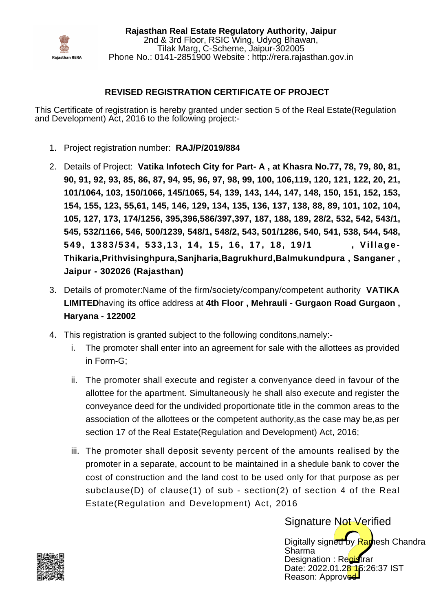

**Rajasthan Real Estate Regulatory Authority, Jaipur** 2nd & 3rd Floor, RSIC Wing, Udyog Bhawan, Tilak Marg, C-Scheme, Jaipur-302005 Phone No.: 0141-2851900 Website : http://rera.rajasthan.gov.in

## **REVISED REGISTRATION CERTIFICATE OF PROJECT**

This Certificate of registration is hereby granted under section 5 of the Real Estate(Regulation and Development) Act, 2016 to the following project:-

- 1. Project registration number: **RAJ/P/2019/884**
- Details of Project: **Vatika Infotech City for Part- A , at Khasra No.77, 78, 79, 80, 81,** 2. **90, 91, 92, 93, 85, 86, 87, 94, 95, 96, 97, 98, 99, 100, 106,119, 120, 121, 122, 20, 21, 101/1064, 103, 150/1066, 145/1065, 54, 139, 143, 144, 147, 148, 150, 151, 152, 153, 154, 155, 123, 55,61, 145, 146, 129, 134, 135, 136, 137, 138, 88, 89, 101, 102, 104, 105, 127, 173, 174/1256, 395,396,586/397,397, 187, 188, 189, 28/2, 532, 542, 543/1, 545, 532/1166, 546, 500/1239, 548/1, 548/2, 543, 501/1286, 540, 541, 538, 544, 548, 549, 1383/534, 533,13, 14, 15, 16, 17, 18, 19/1 , Village-Thikaria,Prithvisinghpura,Sanjharia,Bagrukhurd,Balmukundpura , Sanganer , Jaipur - 302026 (Rajasthan)**
- Details of promoter:Name of the firm/society/company/competent authority **VATIKA** 3. **LIMITED**having its office address at **4th Floor , Mehrauli - Gurgaon Road Gurgaon , Haryana - 122002**
- 4. This registration is granted subject to the following conditons,namely:-
	- The promoter shall enter into an agreement for sale with the allottees as provided in Form-G; i.
	- The promoter shall execute and register a convenyance deed in favour of the ii. allottee for the apartment. Simultaneously he shall also execute and register the conveyance deed for the undivided proportionate title in the common areas to the association of the allottees or the competent authority,as the case may be,as per section 17 of the Real Estate(Regulation and Development) Act, 2016;
	- iii. The promoter shall deposit seventy percent of the amounts realised by the promoter in a separate, account to be maintained in a shedule bank to cover the cost of construction and the land cost to be used only for that purpose as per subclause(D) of clause(1) of sub - section(2) of section 4 of the Real Estate(Regulation and Development) Act, 2016